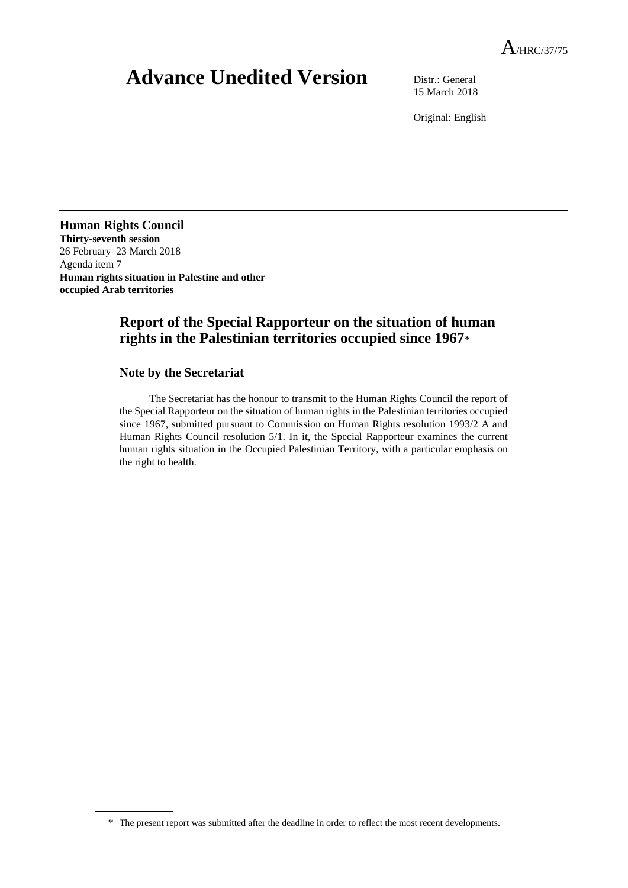# **Advance Unedited Version** Distr.: General

15 March 2018

Original: English

**Human Rights Council Thirty-seventh session** 26 February–23 March 2018 Agenda item 7 **Human rights situation in Palestine and other occupied Arab territories**

# **Report of the Special Rapporteur on the situation of human rights in the Palestinian territories occupied since 1967**\*

### **Note by the Secretariat**

The Secretariat has the honour to transmit to the Human Rights Council the report of the Special Rapporteur on the situation of human rights in the Palestinian territories occupied since 1967, submitted pursuant to Commission on Human Rights resolution 1993/2 A and Human Rights Council resolution 5/1. In it, the Special Rapporteur examines the current human rights situation in the Occupied Palestinian Territory, with a particular emphasis on the right to health.

<sup>\*</sup> The present report was submitted after the deadline in order to reflect the most recent developments.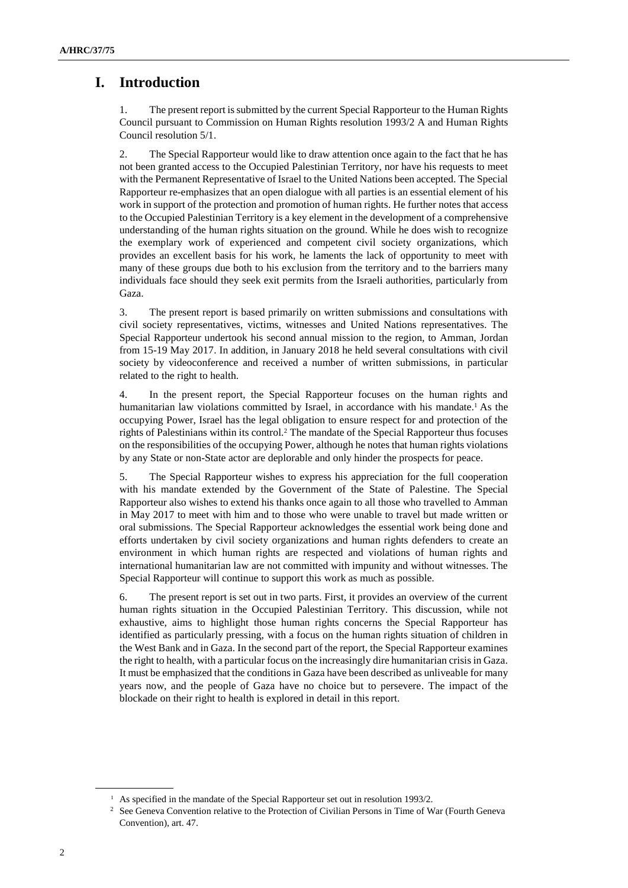# **I. Introduction**

1. The present report is submitted by the current Special Rapporteur to the Human Rights Council pursuant to Commission on Human Rights resolution 1993/2 A and Human Rights Council resolution 5/1.

2. The Special Rapporteur would like to draw attention once again to the fact that he has not been granted access to the Occupied Palestinian Territory, nor have his requests to meet with the Permanent Representative of Israel to the United Nations been accepted. The Special Rapporteur re-emphasizes that an open dialogue with all parties is an essential element of his work in support of the protection and promotion of human rights. He further notes that access to the Occupied Palestinian Territory is a key element in the development of a comprehensive understanding of the human rights situation on the ground. While he does wish to recognize the exemplary work of experienced and competent civil society organizations, which provides an excellent basis for his work, he laments the lack of opportunity to meet with many of these groups due both to his exclusion from the territory and to the barriers many individuals face should they seek exit permits from the Israeli authorities, particularly from Gaza.

3. The present report is based primarily on written submissions and consultations with civil society representatives, victims, witnesses and United Nations representatives. The Special Rapporteur undertook his second annual mission to the region, to Amman, Jordan from 15-19 May 2017. In addition, in January 2018 he held several consultations with civil society by videoconference and received a number of written submissions, in particular related to the right to health.

4. In the present report, the Special Rapporteur focuses on the human rights and humanitarian law violations committed by Israel, in accordance with his mandate. <sup>1</sup> As the occupying Power, Israel has the legal obligation to ensure respect for and protection of the rights of Palestinians within its control.<sup>2</sup> The mandate of the Special Rapporteur thus focuses on the responsibilities of the occupying Power, although he notes that human rights violations by any State or non-State actor are deplorable and only hinder the prospects for peace.

5. The Special Rapporteur wishes to express his appreciation for the full cooperation with his mandate extended by the Government of the State of Palestine. The Special Rapporteur also wishes to extend his thanks once again to all those who travelled to Amman in May 2017 to meet with him and to those who were unable to travel but made written or oral submissions. The Special Rapporteur acknowledges the essential work being done and efforts undertaken by civil society organizations and human rights defenders to create an environment in which human rights are respected and violations of human rights and international humanitarian law are not committed with impunity and without witnesses. The Special Rapporteur will continue to support this work as much as possible.

6. The present report is set out in two parts. First, it provides an overview of the current human rights situation in the Occupied Palestinian Territory. This discussion, while not exhaustive, aims to highlight those human rights concerns the Special Rapporteur has identified as particularly pressing, with a focus on the human rights situation of children in the West Bank and in Gaza. In the second part of the report, the Special Rapporteur examines the right to health, with a particular focus on the increasingly dire humanitarian crisis in Gaza. It must be emphasized that the conditions in Gaza have been described as unliveable for many years now, and the people of Gaza have no choice but to persevere. The impact of the blockade on their right to health is explored in detail in this report.

<sup>&</sup>lt;sup>1</sup> As specified in the mandate of the Special Rapporteur set out in resolution 1993/2.

<sup>&</sup>lt;sup>2</sup> See Geneva Convention relative to the Protection of Civilian Persons in Time of War (Fourth Geneva Convention), art. 47.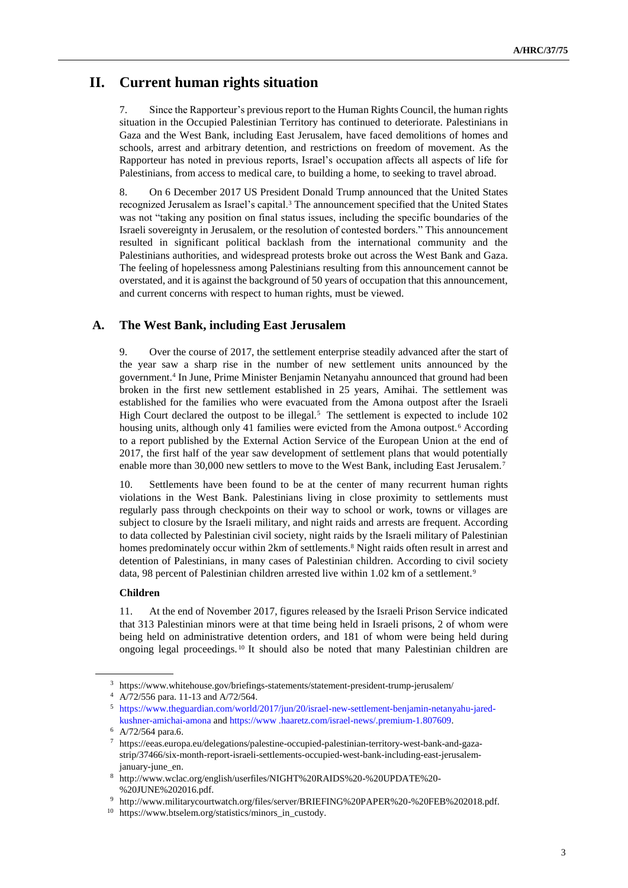# **II. Current human rights situation**

7. Since the Rapporteur's previousreport to the Human Rights Council, the human rights situation in the Occupied Palestinian Territory has continued to deteriorate. Palestinians in Gaza and the West Bank, including East Jerusalem, have faced demolitions of homes and schools, arrest and arbitrary detention, and restrictions on freedom of movement. As the Rapporteur has noted in previous reports, Israel's occupation affects all aspects of life for Palestinians, from access to medical care, to building a home, to seeking to travel abroad.

8. On 6 December 2017 US President Donald Trump announced that the United States recognized Jerusalem as Israel's capital.<sup>3</sup> The announcement specified that the United States was not "taking any position on final status issues, including the specific boundaries of the Israeli sovereignty in Jerusalem, or the resolution of contested borders." This announcement resulted in significant political backlash from the international community and the Palestinians authorities, and widespread protests broke out across the West Bank and Gaza. The feeling of hopelessness among Palestinians resulting from this announcement cannot be overstated, and it is against the background of 50 years of occupation that this announcement, and current concerns with respect to human rights, must be viewed.

### **A. The West Bank, including East Jerusalem**

9. Over the course of 2017, the settlement enterprise steadily advanced after the start of the year saw a sharp rise in the number of new settlement units announced by the government.<sup>4</sup> In June, Prime Minister Benjamin Netanyahu announced that ground had been broken in the first new settlement established in 25 years, Amihai. The settlement was established for the families who were evacuated from the Amona outpost after the Israeli High Court declared the outpost to be illegal. $<sup>5</sup>$  The settlement is expected to include 102</sup> housing units, although only 41 families were evicted from the Amona outpost.<sup>6</sup> According to a report published by the External Action Service of the European Union at the end of 2017, the first half of the year saw development of settlement plans that would potentially enable more than 30,000 new settlers to move to the West Bank, including East Jerusalem.<sup>7</sup>

10. Settlements have been found to be at the center of many recurrent human rights violations in the West Bank. Palestinians living in close proximity to settlements must regularly pass through checkpoints on their way to school or work, towns or villages are subject to closure by the Israeli military, and night raids and arrests are frequent. According to data collected by Palestinian civil society, night raids by the Israeli military of Palestinian homes predominately occur within 2km of settlements.<sup>8</sup> Night raids often result in arrest and detention of Palestinians, in many cases of Palestinian children. According to civil society data, 98 percent of Palestinian children arrested live within 1.02 km of a settlement.<sup>9</sup>

### **Children**

11. At the end of November 2017, figures released by the Israeli Prison Service indicated that 313 Palestinian minors were at that time being held in Israeli prisons, 2 of whom were being held on administrative detention orders, and 181 of whom were being held during ongoing legal proceedings. <sup>10</sup> It should also be noted that many Palestinian children are

<sup>3</sup> https://www.whitehouse.gov/briefings-statements/statement-president-trump-jerusalem/

<sup>4</sup> A/72/556 para. 11-13 and A/72/564.

<sup>5</sup> [https://www.theguardian.com/world/2017/jun/20/israel-new-settlement-benjamin-netanyahu-jared](https://www.theguardian.com/world/2017/jun/20/israel-new-settlement-benjamin-netanyahu-jared-kushner-amichai-amona)[kushner-amichai-amona](https://www.theguardian.com/world/2017/jun/20/israel-new-settlement-benjamin-netanyahu-jared-kushner-amichai-amona) and https://www .haaretz.com/israel-news/.premium-1.807609.

<sup>6</sup> A/72/564 para.6.

<sup>7</sup> https://eeas.europa.eu/delegations/palestine-occupied-palestinian-territory-west-bank-and-gazastrip/37466/six-month-report-israeli-settlements-occupied-west-bank-including-east-jerusalemjanuary-june\_en.

<sup>8</sup> http://www.wclac.org/english/userfiles/NIGHT%20RAIDS%20-%20UPDATE%20- %20JUNE%202016.pdf.

<sup>9</sup> http://www.militarycourtwatch.org/files/server/BRIEFING%20PAPER%20-%20FEB%202018.pdf.

<sup>10</sup> https://www.btselem.org/statistics/minors\_in\_custody.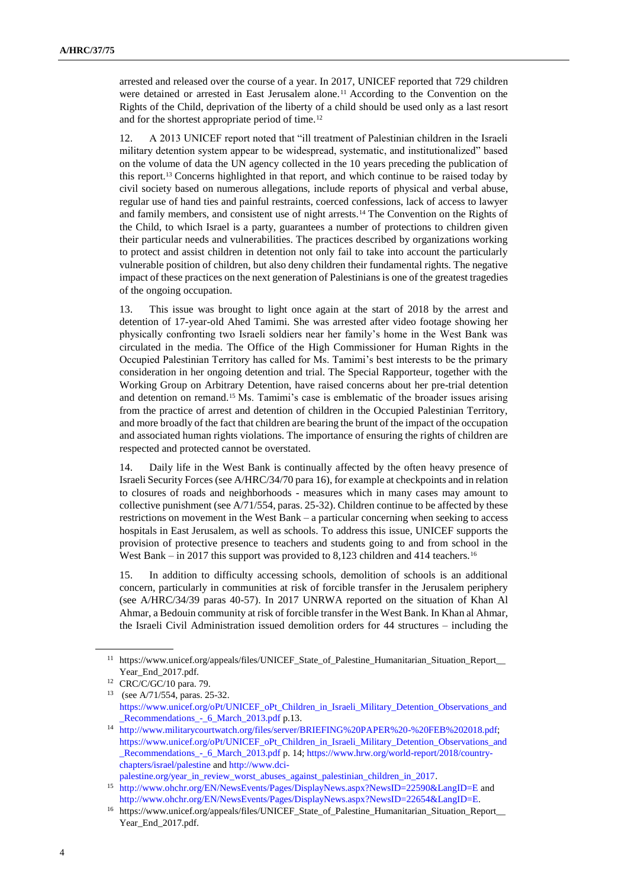arrested and released over the course of a year. In 2017, UNICEF reported that 729 children were detained or arrested in East Jerusalem alone.<sup>11</sup> According to the Convention on the Rights of the Child, deprivation of the liberty of a child should be used only as a last resort and for the shortest appropriate period of time.<sup>12</sup>

12. A 2013 UNICEF report noted that "ill treatment of Palestinian children in the Israeli military detention system appear to be widespread, systematic, and institutionalized" based on the volume of data the UN agency collected in the 10 years preceding the publication of this report.<sup>13</sup> Concerns highlighted in that report, and which continue to be raised today by civil society based on numerous allegations, include reports of physical and verbal abuse, regular use of hand ties and painful restraints, coerced confessions, lack of access to lawyer and family members, and consistent use of night arrests.<sup>14</sup> The Convention on the Rights of the Child, to which Israel is a party, guarantees a number of protections to children given their particular needs and vulnerabilities. The practices described by organizations working to protect and assist children in detention not only fail to take into account the particularly vulnerable position of children, but also deny children their fundamental rights. The negative impact of these practices on the next generation of Palestinians is one of the greatest tragedies of the ongoing occupation.

13. This issue was brought to light once again at the start of 2018 by the arrest and detention of 17-year-old Ahed Tamimi. She was arrested after video footage showing her physically confronting two Israeli soldiers near her family's home in the West Bank was circulated in the media. The Office of the High Commissioner for Human Rights in the Occupied Palestinian Territory has called for Ms. Tamimi's best interests to be the primary consideration in her ongoing detention and trial. The Special Rapporteur, together with the Working Group on Arbitrary Detention, have raised concerns about her pre-trial detention and detention on remand.<sup>15</sup> Ms. Tamimi's case is emblematic of the broader issues arising from the practice of arrest and detention of children in the Occupied Palestinian Territory, and more broadly of the fact that children are bearing the brunt of the impact of the occupation and associated human rights violations. The importance of ensuring the rights of children are respected and protected cannot be overstated.

14. Daily life in the West Bank is continually affected by the often heavy presence of Israeli Security Forces (see A/HRC/34/70 para 16), for example at checkpoints and in relation to closures of roads and neighborhoods - measures which in many cases may amount to collective punishment (see A/71/554, paras. 25-32). Children continue to be affected by these restrictions on movement in the West Bank – a particular concerning when seeking to access hospitals in East Jerusalem, as well as schools. To address this issue, UNICEF supports the provision of protective presence to teachers and students going to and from school in the West Bank – in 2017 this support was provided to 8,123 children and 414 teachers.<sup>16</sup>

15. In addition to difficulty accessing schools, demolition of schools is an additional concern, particularly in communities at risk of forcible transfer in the Jerusalem periphery (see A/HRC/34/39 paras 40-57). In 2017 UNRWA reported on the situation of Khan Al Ahmar, a Bedouin community at risk of forcible transfer in the West Bank. In Khan al Ahmar, the Israeli Civil Administration issued demolition orders for 44 structures – including the

<sup>11</sup> https://www.unicef.org/appeals/files/UNICEF\_State\_of\_Palestine\_Humanitarian\_Situation\_Report\_\_ Year\_End\_2017.pdf.

<sup>12</sup> CRC/C/GC/10 para. 79.

<sup>13</sup> (see A/71/554, paras. 25-32. [https://www.unicef.org/oPt/UNICEF\\_oPt\\_Children\\_in\\_Israeli\\_Military\\_Detention\\_Observations\\_and](https://www.unicef.org/oPt/UNICEF_oPt_Children_in_Israeli_Military_Detention_Observations_and_Recommendations_-_6_March_2013.pdf) [\\_Recommendations\\_-\\_6\\_March\\_2013.pdf](https://www.unicef.org/oPt/UNICEF_oPt_Children_in_Israeli_Military_Detention_Observations_and_Recommendations_-_6_March_2013.pdf) p.13.

<sup>14</sup> [http://www.militarycourtwatch.org/files/server/BRIEFING%20PAPER%20-%20FEB%202018.pdf;](http://www.militarycourtwatch.org/files/server/BRIEFING%20PAPER%20-%20FEB%202018.pdf) [https://www.unicef.org/oPt/UNICEF\\_oPt\\_Children\\_in\\_Israeli\\_Military\\_Detention\\_Observations\\_and](https://www.unicef.org/oPt/UNICEF_oPt_Children_in_Israeli_Military_Detention_Observations_and_Recommendations_-_6_March_2013.pdf) [\\_Recommendations\\_-\\_6\\_March\\_2013.pdf](https://www.unicef.org/oPt/UNICEF_oPt_Children_in_Israeli_Military_Detention_Observations_and_Recommendations_-_6_March_2013.pdf) p. 14; [https://www.hrw.org/world-report/2018/country](https://www.hrw.org/world-report/2018/country-chapters/israel/palestine)[chapters/israel/palestine](https://www.hrw.org/world-report/2018/country-chapters/israel/palestine) an[d http://www.dci-](http://www.dci-palestine.org/year_in_review_worst_abuses_against_palestinian_children_in_2017)

[palestine.org/year\\_in\\_review\\_worst\\_abuses\\_against\\_palestinian\\_children\\_in\\_2017.](http://www.dci-palestine.org/year_in_review_worst_abuses_against_palestinian_children_in_2017) 

<sup>15</sup> <http://www.ohchr.org/EN/NewsEvents/Pages/DisplayNews.aspx?NewsID=22590&LangID=E> and [http://www.ohchr.org/EN/NewsEvents/Pages/DisplayNews.aspx?NewsID=22654&LangID=E.](http://www.ohchr.org/EN/NewsEvents/Pages/DisplayNews.aspx?NewsID=22654&LangID=E)

<sup>16</sup> https://www.unicef.org/appeals/files/UNICEF\_State\_of\_Palestine\_Humanitarian\_Situation\_Report\_\_ Year\_End\_2017.pdf.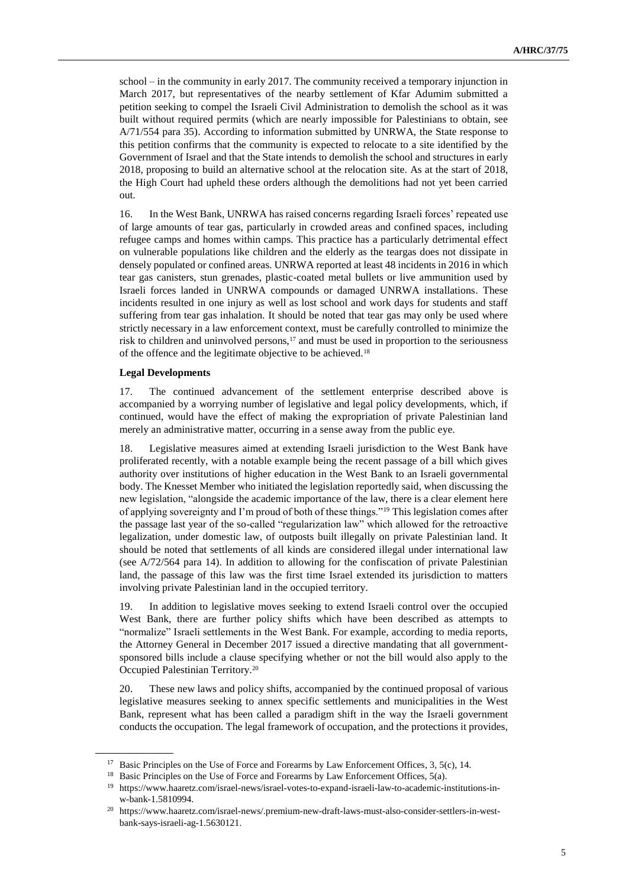school – in the community in early 2017. The community received a temporary injunction in March 2017, but representatives of the nearby settlement of Kfar Adumim submitted a petition seeking to compel the Israeli Civil Administration to demolish the school as it was built without required permits (which are nearly impossible for Palestinians to obtain, see A/71/554 para 35). According to information submitted by UNRWA, the State response to this petition confirms that the community is expected to relocate to a site identified by the Government of Israel and that the State intends to demolish the school and structures in early 2018, proposing to build an alternative school at the relocation site. As at the start of 2018, the High Court had upheld these orders although the demolitions had not yet been carried out.

16. In the West Bank, UNRWA has raised concerns regarding Israeli forces' repeated use of large amounts of tear gas, particularly in crowded areas and confined spaces, including refugee camps and homes within camps. This practice has a particularly detrimental effect on vulnerable populations like children and the elderly as the teargas does not dissipate in densely populated or confined areas. UNRWA reported at least 48 incidents in 2016 in which tear gas canisters, stun grenades, plastic-coated metal bullets or live ammunition used by Israeli forces landed in UNRWA compounds or damaged UNRWA installations. These incidents resulted in one injury as well as lost school and work days for students and staff suffering from tear gas inhalation. It should be noted that tear gas may only be used where strictly necessary in a law enforcement context, must be carefully controlled to minimize the risk to children and uninvolved persons, $17$  and must be used in proportion to the seriousness of the offence and the legitimate objective to be achieved.<sup>18</sup>

#### **Legal Developments**

17. The continued advancement of the settlement enterprise described above is accompanied by a worrying number of legislative and legal policy developments, which, if continued, would have the effect of making the expropriation of private Palestinian land merely an administrative matter, occurring in a sense away from the public eye.

18. Legislative measures aimed at extending Israeli jurisdiction to the West Bank have proliferated recently, with a notable example being the recent passage of a bill which gives authority over institutions of higher education in the West Bank to an Israeli governmental body. The Knesset Member who initiated the legislation reportedly said, when discussing the new legislation, "alongside the academic importance of the law, there is a clear element here of applying sovereignty and I'm proud of both of these things."<sup>19</sup> This legislation comes after the passage last year of the so-called "regularization law" which allowed for the retroactive legalization, under domestic law, of outposts built illegally on private Palestinian land. It should be noted that settlements of all kinds are considered illegal under international law (see A/72/564 para 14). In addition to allowing for the confiscation of private Palestinian land, the passage of this law was the first time Israel extended its jurisdiction to matters involving private Palestinian land in the occupied territory.

19. In addition to legislative moves seeking to extend Israeli control over the occupied West Bank, there are further policy shifts which have been described as attempts to "normalize" Israeli settlements in the West Bank. For example, according to media reports, the Attorney General in December 2017 issued a directive mandating that all governmentsponsored bills include a clause specifying whether or not the bill would also apply to the Occupied Palestinian Territory.<sup>20</sup>

20. These new laws and policy shifts, accompanied by the continued proposal of various legislative measures seeking to annex specific settlements and municipalities in the West Bank, represent what has been called a paradigm shift in the way the Israeli government conducts the occupation. The legal framework of occupation, and the protections it provides,

<sup>&</sup>lt;sup>17</sup> Basic Principles on the Use of Force and Forearms by Law Enforcement Offices, 3, 5(c), 14.

<sup>&</sup>lt;sup>18</sup> Basic Principles on the Use of Force and Forearms by Law Enforcement Offices, 5(a).

<sup>19</sup> https://www.haaretz.com/israel-news/israel-votes-to-expand-israeli-law-to-academic-institutions-inw-bank-1.5810994.

<sup>20</sup> https://www.haaretz.com/israel-news/.premium-new-draft-laws-must-also-consider-settlers-in-westbank-says-israeli-ag-1.5630121.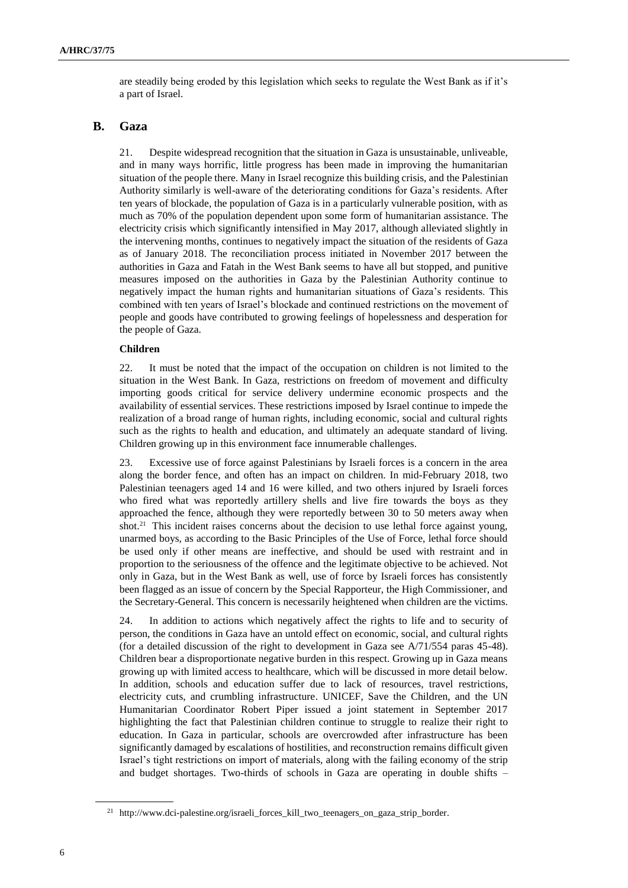are steadily being eroded by this legislation which seeks to regulate the West Bank as if it's a part of Israel.

### **B. Gaza**

21. Despite widespread recognition that the situation in Gaza is unsustainable, unliveable, and in many ways horrific, little progress has been made in improving the humanitarian situation of the people there. Many in Israel recognize this building crisis, and the Palestinian Authority similarly is well-aware of the deteriorating conditions for Gaza's residents. After ten years of blockade, the population of Gaza is in a particularly vulnerable position, with as much as 70% of the population dependent upon some form of humanitarian assistance. The electricity crisis which significantly intensified in May 2017, although alleviated slightly in the intervening months, continues to negatively impact the situation of the residents of Gaza as of January 2018. The reconciliation process initiated in November 2017 between the authorities in Gaza and Fatah in the West Bank seems to have all but stopped, and punitive measures imposed on the authorities in Gaza by the Palestinian Authority continue to negatively impact the human rights and humanitarian situations of Gaza's residents. This combined with ten years of Israel's blockade and continued restrictions on the movement of people and goods have contributed to growing feelings of hopelessness and desperation for the people of Gaza.

#### **Children**

22. It must be noted that the impact of the occupation on children is not limited to the situation in the West Bank. In Gaza, restrictions on freedom of movement and difficulty importing goods critical for service delivery undermine economic prospects and the availability of essential services. These restrictions imposed by Israel continue to impede the realization of a broad range of human rights, including economic, social and cultural rights such as the rights to health and education, and ultimately an adequate standard of living. Children growing up in this environment face innumerable challenges.

23. Excessive use of force against Palestinians by Israeli forces is a concern in the area along the border fence, and often has an impact on children. In mid-February 2018, two Palestinian teenagers aged 14 and 16 were killed, and two others injured by Israeli forces who fired what was reportedly artillery shells and live fire towards the boys as they approached the fence, although they were reportedly between 30 to 50 meters away when shot.<sup>21</sup> This incident raises concerns about the decision to use lethal force against young, unarmed boys, as according to the Basic Principles of the Use of Force, lethal force should be used only if other means are ineffective, and should be used with restraint and in proportion to the seriousness of the offence and the legitimate objective to be achieved. Not only in Gaza, but in the West Bank as well, use of force by Israeli forces has consistently been flagged as an issue of concern by the Special Rapporteur, the High Commissioner, and the Secretary-General. This concern is necessarily heightened when children are the victims.

24. In addition to actions which negatively affect the rights to life and to security of person, the conditions in Gaza have an untold effect on economic, social, and cultural rights (for a detailed discussion of the right to development in Gaza see A/71/554 paras 45-48). Children bear a disproportionate negative burden in this respect. Growing up in Gaza means growing up with limited access to healthcare, which will be discussed in more detail below. In addition, schools and education suffer due to lack of resources, travel restrictions, electricity cuts, and crumbling infrastructure. UNICEF, Save the Children, and the UN Humanitarian Coordinator Robert Piper issued a joint statement in September 2017 highlighting the fact that Palestinian children continue to struggle to realize their right to education. In Gaza in particular, schools are overcrowded after infrastructure has been significantly damaged by escalations of hostilities, and reconstruction remains difficult given Israel's tight restrictions on import of materials, along with the failing economy of the strip and budget shortages. Two-thirds of schools in Gaza are operating in double shifts –

<sup>21</sup> http://www.dci-palestine.org/israeli\_forces\_kill\_two\_teenagers\_on\_gaza\_strip\_border.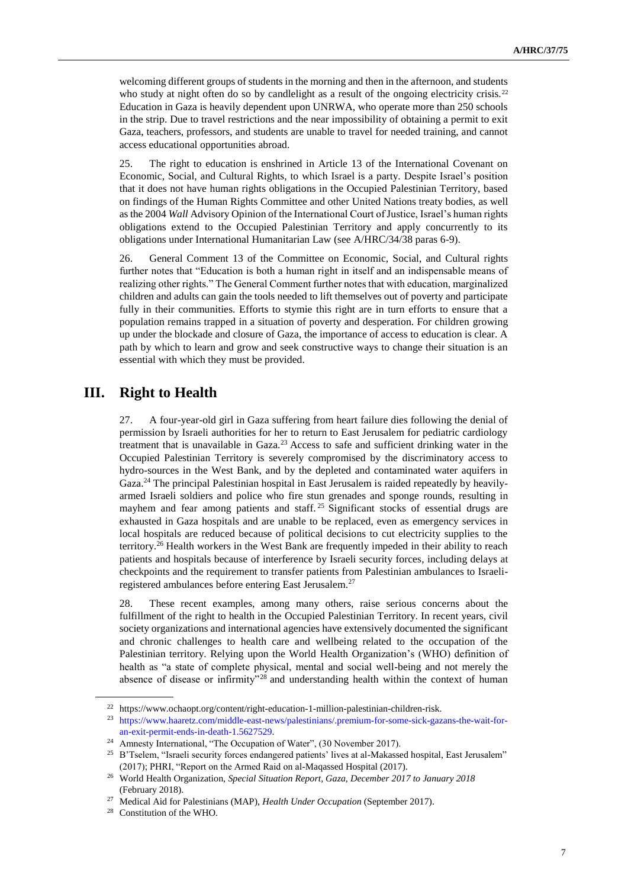welcoming different groups of students in the morning and then in the afternoon, and students who study at night often do so by candlelight as a result of the ongoing electricity crisis.<sup>22</sup> Education in Gaza is heavily dependent upon UNRWA, who operate more than 250 schools in the strip. Due to travel restrictions and the near impossibility of obtaining a permit to exit Gaza, teachers, professors, and students are unable to travel for needed training, and cannot access educational opportunities abroad.

25. The right to education is enshrined in Article 13 of the International Covenant on Economic, Social, and Cultural Rights, to which Israel is a party. Despite Israel's position that it does not have human rights obligations in the Occupied Palestinian Territory, based on findings of the Human Rights Committee and other United Nations treaty bodies, as well as the 2004 *Wall* Advisory Opinion of the International Court of Justice, Israel's human rights obligations extend to the Occupied Palestinian Territory and apply concurrently to its obligations under International Humanitarian Law (see A/HRC/34/38 paras 6-9).

26. General Comment 13 of the Committee on Economic, Social, and Cultural rights further notes that "Education is both a human right in itself and an indispensable means of realizing other rights." The General Comment further notes that with education, marginalized children and adults can gain the tools needed to lift themselves out of poverty and participate fully in their communities. Efforts to stymie this right are in turn efforts to ensure that a population remains trapped in a situation of poverty and desperation. For children growing up under the blockade and closure of Gaza, the importance of access to education is clear. A path by which to learn and grow and seek constructive ways to change their situation is an essential with which they must be provided.

### **III. Right to Health**

27. A four-year-old girl in Gaza suffering from heart failure dies following the denial of permission by Israeli authorities for her to return to East Jerusalem for pediatric cardiology treatment that is unavailable in Gaza. $2<sup>3</sup>$  Access to safe and sufficient drinking water in the Occupied Palestinian Territory is severely compromised by the discriminatory access to hydro-sources in the West Bank, and by the depleted and contaminated water aquifers in Gaza.<sup>24</sup> The principal Palestinian hospital in East Jerusalem is raided repeatedly by heavilyarmed Israeli soldiers and police who fire stun grenades and sponge rounds, resulting in mayhem and fear among patients and staff. <sup>25</sup> Significant stocks of essential drugs are exhausted in Gaza hospitals and are unable to be replaced, even as emergency services in local hospitals are reduced because of political decisions to cut electricity supplies to the territory.<sup>26</sup> Health workers in the West Bank are frequently impeded in their ability to reach patients and hospitals because of interference by Israeli security forces, including delays at checkpoints and the requirement to transfer patients from Palestinian ambulances to Israeliregistered ambulances before entering East Jerusalem. 27

28. These recent examples, among many others, raise serious concerns about the fulfillment of the right to health in the Occupied Palestinian Territory. In recent years, civil society organizations and international agencies have extensively documented the significant and chronic challenges to health care and wellbeing related to the occupation of the Palestinian territory. Relying upon the World Health Organization's (WHO) definition of health as "a state of complete physical, mental and social well-being and not merely the absence of disease or infirmity"<sup>28</sup> and understanding health within the context of human

 $^{22}\,$ https://www.ochaopt.org/content/right-education-1-million-palestinian-children-risk.

<sup>23</sup> [https://www.haaretz.com/middle-east-news/palestinians/.premium-for-some-sick-gazans-the-wait-for](https://www.haaretz.com/middle-east-news/palestinians/.premium-for-some-sick-gazans-the-wait-for-an-exit-permit-ends-in-death-1.5627529)[an-exit-permit-ends-in-death-1.5627529.](https://www.haaretz.com/middle-east-news/palestinians/.premium-for-some-sick-gazans-the-wait-for-an-exit-permit-ends-in-death-1.5627529)

<sup>&</sup>lt;sup>24</sup> Amnesty International, "The Occupation of Water", (30 November 2017).

<sup>&</sup>lt;sup>25</sup> B'Tselem, "Israeli security forces endangered patients' lives at al-Makassed hospital, East Jerusalem" (2017); PHRI, "Report on the Armed Raid on al-Maqassed Hospital (2017).

<sup>26</sup> World Health Organization, *Special Situation Report, Gaza, December 2017 to January 2018* (February 2018).

<sup>27</sup> Medical Aid for Palestinians (MAP), *Health Under Occupation* (September 2017).

<sup>28</sup> Constitution of the WHO.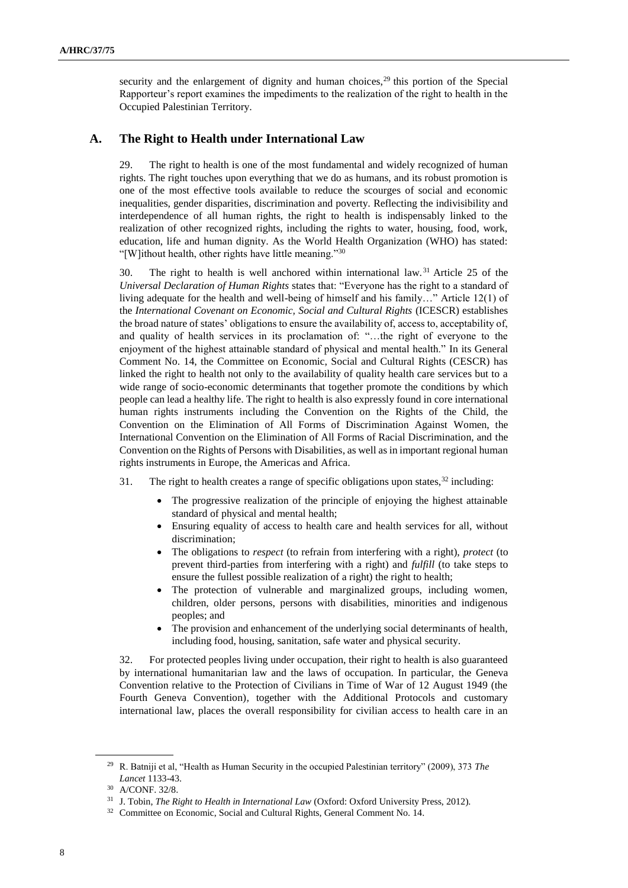security and the enlargement of dignity and human choices,  $29$  this portion of the Special Rapporteur's report examines the impediments to the realization of the right to health in the Occupied Palestinian Territory.

### **A. The Right to Health under International Law**

29. The right to health is one of the most fundamental and widely recognized of human rights. The right touches upon everything that we do as humans, and its robust promotion is one of the most effective tools available to reduce the scourges of social and economic inequalities, gender disparities, discrimination and poverty. Reflecting the indivisibility and interdependence of all human rights, the right to health is indispensably linked to the realization of other recognized rights, including the rights to water, housing, food, work, education, life and human dignity. As the World Health Organization (WHO) has stated: "[W]ithout health, other rights have little meaning."<sup>30</sup>

30. The right to health is well anchored within international law.<sup>31</sup> Article 25 of the *Universal Declaration of Human Rights* states that: "Everyone has the right to a standard of living adequate for the health and well-being of himself and his family…" Article 12(1) of the *International Covenant on Economic, Social and Cultural Rights* (ICESCR) establishes the broad nature of states' obligations to ensure the availability of, access to, acceptability of, and quality of health services in its proclamation of: "…the right of everyone to the enjoyment of the highest attainable standard of physical and mental health." In its General Comment No. 14, the Committee on Economic, Social and Cultural Rights (CESCR) has linked the right to health not only to the availability of quality health care services but to a wide range of socio-economic determinants that together promote the conditions by which people can lead a healthy life. The right to health is also expressly found in core international human rights instruments including the Convention on the Rights of the Child, the Convention on the Elimination of All Forms of Discrimination Against Women, the International Convention on the Elimination of All Forms of Racial Discrimination, and the Convention on the Rights of Persons with Disabilities, as well as in important regional human rights instruments in Europe, the Americas and Africa.

31. The right to health creates a range of specific obligations upon states,  $3<sup>2</sup>$  including:

- The progressive realization of the principle of enjoying the highest attainable standard of physical and mental health;
- Ensuring equality of access to health care and health services for all, without discrimination;
- The obligations to *respect* (to refrain from interfering with a right), *protect* (to prevent third-parties from interfering with a right) and *fulfill* (to take steps to ensure the fullest possible realization of a right) the right to health;
- The protection of vulnerable and marginalized groups, including women, children, older persons, persons with disabilities, minorities and indigenous peoples; and
- The provision and enhancement of the underlying social determinants of health, including food, housing, sanitation, safe water and physical security.

32. For protected peoples living under occupation, their right to health is also guaranteed by international humanitarian law and the laws of occupation. In particular, the Geneva Convention relative to the Protection of Civilians in Time of War of 12 August 1949 (the Fourth Geneva Convention)*,* together with the Additional Protocols and customary international law, places the overall responsibility for civilian access to health care in an

<sup>29</sup> R. Batniji et al, "Health as Human Security in the occupied Palestinian territory" (2009), 373 *The Lancet* 1133-43.

<sup>30</sup> A/CONF. 32/8.

<sup>31</sup> J. Tobin, *The Right to Health in International Law* (Oxford: Oxford University Press, 2012).

<sup>&</sup>lt;sup>32</sup> Committee on Economic, Social and Cultural Rights, General Comment No. 14.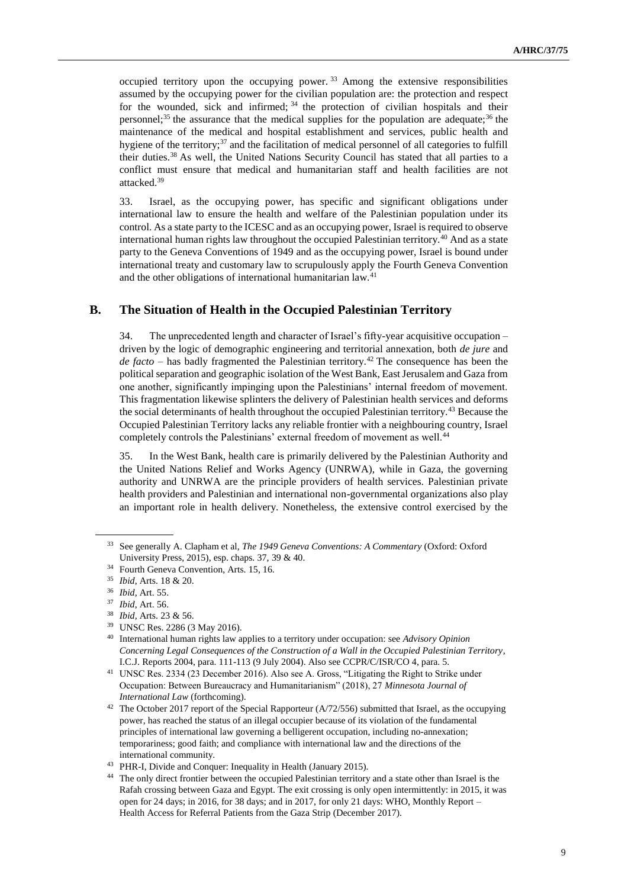occupied territory upon the occupying power.  $33$  Among the extensive responsibilities assumed by the occupying power for the civilian population are: the protection and respect for the wounded, sick and infirmed;  $34$  the protection of civilian hospitals and their personnel;<sup>35</sup> the assurance that the medical supplies for the population are adequate;<sup>36</sup> the maintenance of the medical and hospital establishment and services, public health and hygiene of the territory; $37$  and the facilitation of medical personnel of all categories to fulfill their duties.<sup>38</sup> As well, the United Nations Security Council has stated that all parties to a conflict must ensure that medical and humanitarian staff and health facilities are not attacked.<sup>39</sup>

33. Israel, as the occupying power, has specific and significant obligations under international law to ensure the health and welfare of the Palestinian population under its control. As a state party to the ICESC and as an occupying power, Israel is required to observe international human rights law throughout the occupied Palestinian territory.<sup>40</sup> And as a state party to the Geneva Conventions of 1949 and as the occupying power, Israel is bound under international treaty and customary law to scrupulously apply the Fourth Geneva Convention and the other obligations of international humanitarian law.<sup>41</sup>

### **B. The Situation of Health in the Occupied Palestinian Territory**

34. The unprecedented length and character of Israel's fifty-year acquisitive occupation – driven by the logic of demographic engineering and territorial annexation, both *de jure* and *de facto* – has badly fragmented the Palestinian territory.<sup>42</sup> The consequence has been the political separation and geographic isolation of the West Bank, East Jerusalem and Gaza from one another, significantly impinging upon the Palestinians' internal freedom of movement. This fragmentation likewise splinters the delivery of Palestinian health services and deforms the social determinants of health throughout the occupied Palestinian territory.<sup>43</sup> Because the Occupied Palestinian Territory lacks any reliable frontier with a neighbouring country, Israel completely controls the Palestinians' external freedom of movement as well.<sup>44</sup>

35. In the West Bank, health care is primarily delivered by the Palestinian Authority and the United Nations Relief and Works Agency (UNRWA), while in Gaza, the governing authority and UNRWA are the principle providers of health services. Palestinian private health providers and Palestinian and international non-governmental organizations also play an important role in health delivery. Nonetheless, the extensive control exercised by the

<sup>33</sup> See generally A. Clapham et al, *The 1949 Geneva Conventions: A Commentary* (Oxford: Oxford University Press, 2015), esp. chaps. 37, 39 & 40.

<sup>&</sup>lt;sup>34</sup> Fourth Geneva Convention, Arts. 15, 16.

<sup>35</sup> *Ibid*, Arts. 18 & 20.

<sup>36</sup> *Ibid*, Art. 55.

<sup>37</sup> *Ibid*, Art. 56.

<sup>38</sup> *Ibid,* Arts. 23 & 56.

<sup>39</sup> UNSC Res. 2286 (3 May 2016).

<sup>40</sup> International human rights law applies to a territory under occupation: see *Advisory Opinion Concerning Legal Consequences of the Construction of a Wall in the Occupied Palestinian Territory*, I.C.J. Reports 2004, para. 111-113 (9 July 2004). Also see CCPR/C/ISR/CO 4, para. 5.

<sup>41</sup> UNSC Res. 2334 (23 December 2016). Also see A. Gross, "Litigating the Right to Strike under Occupation: Between Bureaucracy and Humanitarianism" (2018), 27 *Minnesota Journal of International Law* (forthcoming).

<sup>&</sup>lt;sup>42</sup> The October 2017 report of the Special Rapporteur (A/72/556) submitted that Israel, as the occupying power, has reached the status of an illegal occupier because of its violation of the fundamental principles of international law governing a belligerent occupation, including no-annexation; temporariness; good faith; and compliance with international law and the directions of the international community.

<sup>43</sup> PHR-I, Divide and Conquer: Inequality in Health (January 2015).

<sup>44</sup> The only direct frontier between the occupied Palestinian territory and a state other than Israel is the Rafah crossing between Gaza and Egypt. The exit crossing is only open intermittently: in 2015, it was open for 24 days; in 2016, for 38 days; and in 2017, for only 21 days: WHO, Monthly Report – Health Access for Referral Patients from the Gaza Strip (December 2017).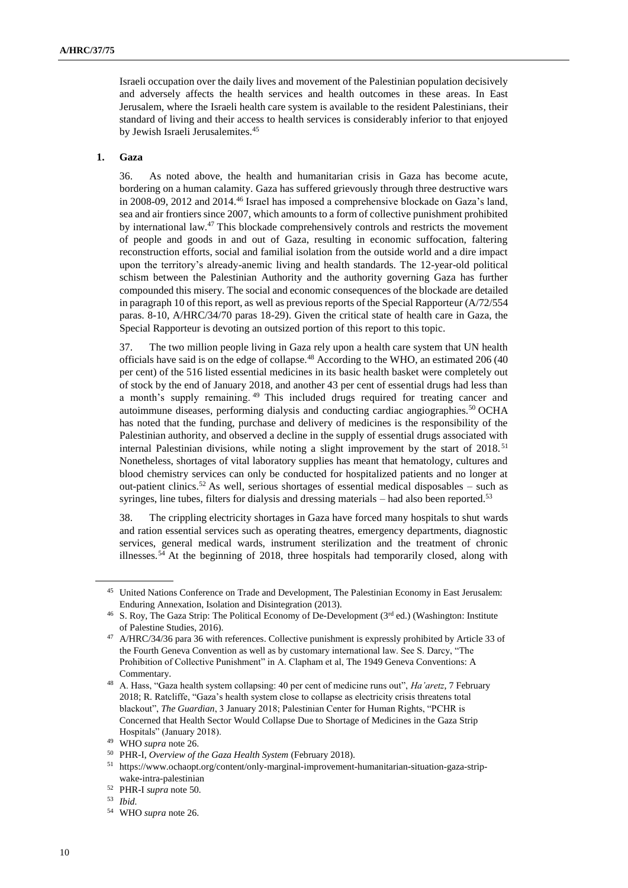Israeli occupation over the daily lives and movement of the Palestinian population decisively and adversely affects the health services and health outcomes in these areas. In East Jerusalem, where the Israeli health care system is available to the resident Palestinians, their standard of living and their access to health services is considerably inferior to that enjoyed by Jewish Israeli Jerusalemites.<sup>45</sup>

### **1. Gaza**

36. As noted above, the health and humanitarian crisis in Gaza has become acute, bordering on a human calamity. Gaza has suffered grievously through three destructive wars in 2008-09, 2012 and 2014.<sup>46</sup> Israel has imposed a comprehensive blockade on Gaza's land, sea and air frontiers since 2007, which amounts to a form of collective punishment prohibited by international law.<sup>47</sup> This blockade comprehensively controls and restricts the movement of people and goods in and out of Gaza, resulting in economic suffocation, faltering reconstruction efforts, social and familial isolation from the outside world and a dire impact upon the territory's already-anemic living and health standards. The 12-year-old political schism between the Palestinian Authority and the authority governing Gaza has further compounded this misery. The social and economic consequences of the blockade are detailed in paragraph 10 of this report, as well as previous reports of the Special Rapporteur (A/72/554 paras. 8-10, A/HRC/34/70 paras 18-29). Given the critical state of health care in Gaza, the Special Rapporteur is devoting an outsized portion of this report to this topic.

37. The two million people living in Gaza rely upon a health care system that UN health officials have said is on the edge of collapse.<sup>48</sup> According to the WHO, an estimated 206 (40 per cent) of the 516 listed essential medicines in its basic health basket were completely out of stock by the end of January 2018, and another 43 per cent of essential drugs had less than a month's supply remaining. <sup>49</sup> This included drugs required for treating cancer and autoimmune diseases, performing dialysis and conducting cardiac angiographies.<sup>50</sup> OCHA has noted that the funding, purchase and delivery of medicines is the responsibility of the Palestinian authority, and observed a decline in the supply of essential drugs associated with internal Palestinian divisions, while noting a slight improvement by the start of 2018. <sup>51</sup> Nonetheless, shortages of vital laboratory supplies has meant that hematology, cultures and blood chemistry services can only be conducted for hospitalized patients and no longer at out-patient clinics.<sup>52</sup> As well, serious shortages of essential medical disposables – such as syringes, line tubes, filters for dialysis and dressing materials – had also been reported.<sup>53</sup>

38. The crippling electricity shortages in Gaza have forced many hospitals to shut wards and ration essential services such as operating theatres, emergency departments, diagnostic services, general medical wards, instrument sterilization and the treatment of chronic illnesses.<sup>54</sup> At the beginning of  $2018$ , three hospitals had temporarily closed, along with

<sup>&</sup>lt;sup>45</sup> United Nations Conference on Trade and Development, The Palestinian Economy in East Jerusalem: Enduring Annexation, Isolation and Disintegration (2013).

<sup>&</sup>lt;sup>46</sup> S. Roy, The Gaza Strip: The Political Economy of De-Development (3<sup>rd</sup> ed.) (Washington: Institute of Palestine Studies, 2016).

<sup>47</sup> A/HRC/34/36 para 36 with references. Collective punishment is expressly prohibited by Article 33 of the Fourth Geneva Convention as well as by customary international law. See S. Darcy, "The Prohibition of Collective Punishment" in A. Clapham et al, The 1949 Geneva Conventions: A Commentary.

<sup>48</sup> A. Hass, "Gaza health system collapsing: 40 per cent of medicine runs out", *Ha'aretz*, 7 February 2018; R. Ratcliffe, "Gaza's health system close to collapse as electricity crisis threatens total blackout", *The Guardian*, 3 January 2018; Palestinian Center for Human Rights, "PCHR is Concerned that Health Sector Would Collapse Due to Shortage of Medicines in the Gaza Strip Hospitals" (January 2018).

<sup>49</sup> WHO *supra* note 26.

<sup>50</sup> PHR-I, *Overview of the Gaza Health System* (February 2018).

 $51 \;$ https://www.ochaopt.org/content/only-marginal-improvement-humanitarian-situation-gaza-stripwake-intra-palestinian

<sup>52</sup> PHR-I *supra* note 50*.* 

<sup>53</sup> *Ibid.*

<sup>54</sup> WHO *supra* note 26.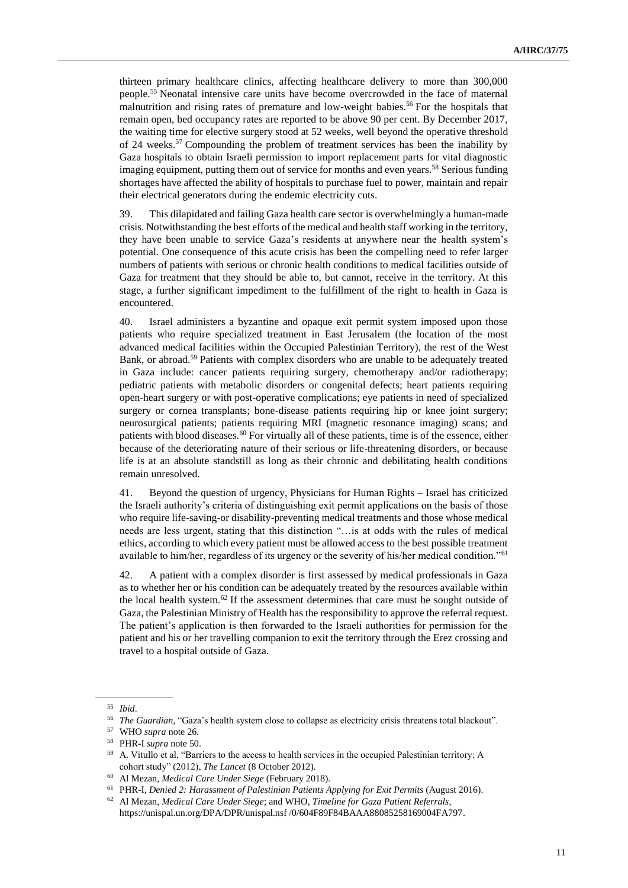thirteen primary healthcare clinics, affecting healthcare delivery to more than 300,000 people.<sup>55</sup> Neonatal intensive care units have become overcrowded in the face of maternal malnutrition and rising rates of premature and low-weight babies.<sup>56</sup> For the hospitals that remain open, bed occupancy rates are reported to be above 90 per cent. By December 2017, the waiting time for elective surgery stood at 52 weeks, well beyond the operative threshold of 24 weeks.<sup>57</sup> Compounding the problem of treatment services has been the inability by Gaza hospitals to obtain Israeli permission to import replacement parts for vital diagnostic imaging equipment, putting them out of service for months and even years.<sup>58</sup> Serious funding shortages have affected the ability of hospitals to purchase fuel to power, maintain and repair their electrical generators during the endemic electricity cuts.

39. This dilapidated and failing Gaza health care sector is overwhelmingly a human-made crisis. Notwithstanding the best efforts of the medical and health staff working in the territory, they have been unable to service Gaza's residents at anywhere near the health system's potential. One consequence of this acute crisis has been the compelling need to refer larger numbers of patients with serious or chronic health conditions to medical facilities outside of Gaza for treatment that they should be able to, but cannot, receive in the territory. At this stage, a further significant impediment to the fulfillment of the right to health in Gaza is encountered.

40. Israel administers a byzantine and opaque exit permit system imposed upon those patients who require specialized treatment in East Jerusalem (the location of the most advanced medical facilities within the Occupied Palestinian Territory), the rest of the West Bank, or abroad.<sup>59</sup> Patients with complex disorders who are unable to be adequately treated in Gaza include: cancer patients requiring surgery, chemotherapy and/or radiotherapy; pediatric patients with metabolic disorders or congenital defects; heart patients requiring open-heart surgery or with post-operative complications; eye patients in need of specialized surgery or cornea transplants; bone-disease patients requiring hip or knee joint surgery; neurosurgical patients; patients requiring MRI (magnetic resonance imaging) scans; and patients with blood diseases.<sup>60</sup> For virtually all of these patients, time is of the essence, either because of the deteriorating nature of their serious or life-threatening disorders, or because life is at an absolute standstill as long as their chronic and debilitating health conditions remain unresolved.

41. Beyond the question of urgency, Physicians for Human Rights – Israel has criticized the Israeli authority's criteria of distinguishing exit permit applications on the basis of those who require life-saving-or disability-preventing medical treatments and those whose medical needs are less urgent, stating that this distinction "…is at odds with the rules of medical ethics, according to which every patient must be allowed access to the best possible treatment available to him/her, regardless of its urgency or the severity of his/her medical condition."<sup>61</sup>

42. A patient with a complex disorder is first assessed by medical professionals in Gaza as to whether her or his condition can be adequately treated by the resources available within the local health system.<sup>62</sup> If the assessment determines that care must be sought outside of Gaza, the Palestinian Ministry of Health has the responsibility to approve the referral request. The patient's application is then forwarded to the Israeli authorities for permission for the patient and his or her travelling companion to exit the territory through the Erez crossing and travel to a hospital outside of Gaza.

<sup>55</sup> *Ibid*.

<sup>56</sup> *The Guardian,* "Gaza's health system close to collapse as electricity crisis threatens total blackout".

<sup>57</sup> WHO *supra* note 26.

<sup>58</sup> PHR-I *supra* note 50.

<sup>59</sup> A. Vitullo et al, "Barriers to the access to health services in the occupied Palestinian territory: A cohort study" (2012), *The Lancet* (8 October 2012).

<sup>60</sup> Al Mezan, *Medical Care Under Siege* (February 2018).

<sup>61</sup> PHR-I, *Denied 2: Harassment of Palestinian Patients Applying for Exit Permits* (August 2016).

<sup>62</sup> Al Mezan, *Medical Care Under Siege*; and WHO, *Timeline for Gaza Patient Referrals*, https://unispal.un.org/DPA/DPR/unispal.nsf /0/604F89F84BAAA88085258169004FA797.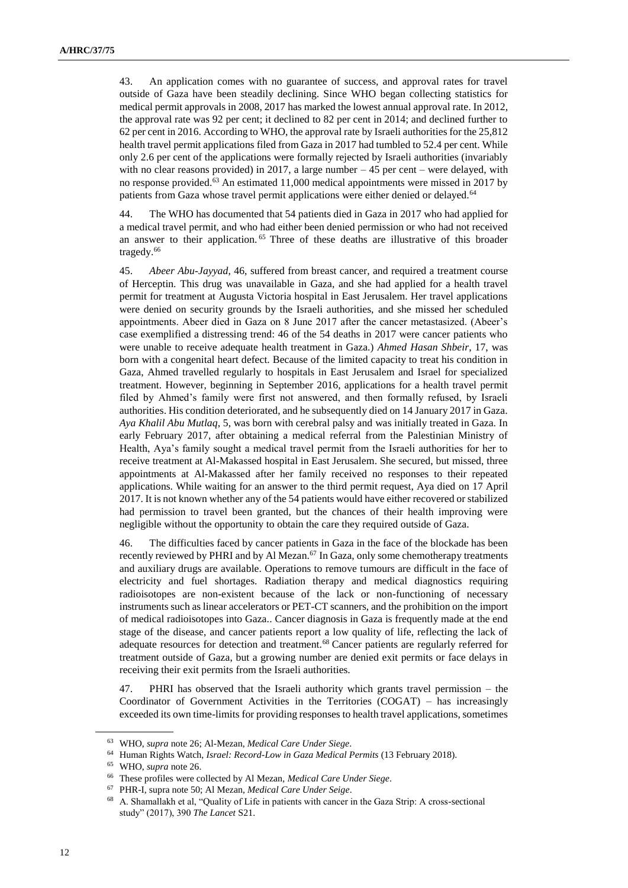43. An application comes with no guarantee of success, and approval rates for travel outside of Gaza have been steadily declining. Since WHO began collecting statistics for medical permit approvals in 2008, 2017 has marked the lowest annual approval rate. In 2012, the approval rate was 92 per cent; it declined to 82 per cent in 2014; and declined further to 62 per cent in 2016. According to WHO, the approval rate by Israeli authorities for the 25,812 health travel permit applications filed from Gaza in 2017 had tumbled to 52.4 per cent. While only 2.6 per cent of the applications were formally rejected by Israeli authorities (invariably with no clear reasons provided) in 2017, a large number  $-45$  per cent – were delayed, with no response provided.<sup>63</sup> An estimated 11,000 medical appointments were missed in 2017 by patients from Gaza whose travel permit applications were either denied or delayed.<sup>64</sup>

44. The WHO has documented that 54 patients died in Gaza in 2017 who had applied for a medical travel permit, and who had either been denied permission or who had not received an answer to their application. <sup>65</sup> Three of these deaths are illustrative of this broader tragedy.<sup>66</sup>

45. *Abeer Abu-Jayyad*, 46, suffered from breast cancer, and required a treatment course of Herceptin. This drug was unavailable in Gaza, and she had applied for a health travel permit for treatment at Augusta Victoria hospital in East Jerusalem. Her travel applications were denied on security grounds by the Israeli authorities, and she missed her scheduled appointments. Abeer died in Gaza on 8 June 2017 after the cancer metastasized. (Abeer's case exemplified a distressing trend: 46 of the 54 deaths in 2017 were cancer patients who were unable to receive adequate health treatment in Gaza.) *Ahmed Hasan Shbeir*, 17, was born with a congenital heart defect. Because of the limited capacity to treat his condition in Gaza, Ahmed travelled regularly to hospitals in East Jerusalem and Israel for specialized treatment. However, beginning in September 2016, applications for a health travel permit filed by Ahmed's family were first not answered, and then formally refused, by Israeli authorities. His condition deteriorated, and he subsequently died on 14 January 2017 in Gaza. *Aya Khalil Abu Mutlaq*, 5, was born with cerebral palsy and was initially treated in Gaza. In early February 2017, after obtaining a medical referral from the Palestinian Ministry of Health, Aya's family sought a medical travel permit from the Israeli authorities for her to receive treatment at Al-Makassed hospital in East Jerusalem. She secured, but missed, three appointments at Al-Makassed after her family received no responses to their repeated applications. While waiting for an answer to the third permit request, Aya died on 17 April 2017. It is not known whether any of the 54 patients would have either recovered or stabilized had permission to travel been granted, but the chances of their health improving were negligible without the opportunity to obtain the care they required outside of Gaza.

46. The difficulties faced by cancer patients in Gaza in the face of the blockade has been recently reviewed by PHRI and by Al Mezan. $67$  In Gaza, only some chemotherapy treatments and auxiliary drugs are available. Operations to remove tumours are difficult in the face of electricity and fuel shortages. Radiation therapy and medical diagnostics requiring radioisotopes are non-existent because of the lack or non-functioning of necessary instruments such as linear accelerators or PET-CT scanners, and the prohibition on the import of medical radioisotopes into Gaza.. Cancer diagnosis in Gaza is frequently made at the end stage of the disease, and cancer patients report a low quality of life, reflecting the lack of adequate resources for detection and treatment.<sup>68</sup> Cancer patients are regularly referred for treatment outside of Gaza, but a growing number are denied exit permits or face delays in receiving their exit permits from the Israeli authorities.

47. PHRI has observed that the Israeli authority which grants travel permission – the Coordinator of Government Activities in the Territories (COGAT) – has increasingly exceeded its own time-limits for providing responses to health travel applications, sometimes

<sup>63</sup> WHO, *supra* note 26; Al-Mezan, *Medical Care Under Siege*.

<sup>64</sup> Human Rights Watch, *Israel: Record-Low in Gaza Medical Permits* (13 February 2018).

<sup>65</sup> WHO, *supra* note 26.

<sup>66</sup> These profiles were collected by Al Mezan, *Medical Care Under Siege*.

<sup>67</sup> PHR-I, supra note 50; Al Mezan, *Medical Care Under Seige*.

<sup>68</sup> A. Shamallakh et al, "Quality of Life in patients with cancer in the Gaza Strip: A cross-sectional study" (2017), 390 *The Lancet* S21.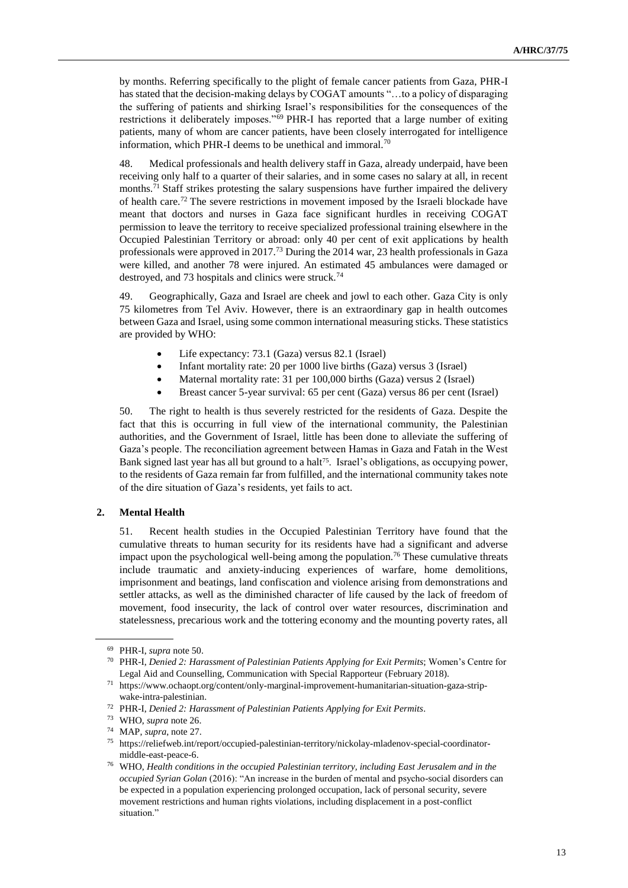by months. Referring specifically to the plight of female cancer patients from Gaza, PHR-I has stated that the decision-making delays by COGAT amounts "…to a policy of disparaging the suffering of patients and shirking Israel's responsibilities for the consequences of the restrictions it deliberately imposes."<sup>69</sup> PHR-I has reported that a large number of exiting patients, many of whom are cancer patients, have been closely interrogated for intelligence information, which PHR-I deems to be unethical and immoral.<sup>70</sup>

48. Medical professionals and health delivery staff in Gaza, already underpaid, have been receiving only half to a quarter of their salaries, and in some cases no salary at all, in recent months.<sup>71</sup> Staff strikes protesting the salary suspensions have further impaired the delivery of health care.<sup>72</sup> The severe restrictions in movement imposed by the Israeli blockade have meant that doctors and nurses in Gaza face significant hurdles in receiving COGAT permission to leave the territory to receive specialized professional training elsewhere in the Occupied Palestinian Territory or abroad: only 40 per cent of exit applications by health professionals were approved in 2017.<sup>73</sup> During the 2014 war, 23 health professionals in Gaza were killed, and another 78 were injured. An estimated 45 ambulances were damaged or destroyed, and 73 hospitals and clinics were struck.<sup>74</sup>

49. Geographically, Gaza and Israel are cheek and jowl to each other. Gaza City is only 75 kilometres from Tel Aviv. However, there is an extraordinary gap in health outcomes between Gaza and Israel, using some common international measuring sticks. These statistics are provided by WHO:

- Life expectancy: 73.1 (Gaza) versus 82.1 (Israel)
- Infant mortality rate: 20 per 1000 live births (Gaza) versus 3 (Israel)
- Maternal mortality rate: 31 per 100,000 births (Gaza) versus 2 (Israel)
- Breast cancer 5-year survival: 65 per cent (Gaza) versus 86 per cent (Israel)

50. The right to health is thus severely restricted for the residents of Gaza. Despite the fact that this is occurring in full view of the international community, the Palestinian authorities, and the Government of Israel, little has been done to alleviate the suffering of Gaza's people. The reconciliation agreement between Hamas in Gaza and Fatah in the West Bank signed last year has all but ground to a halt<sup>75</sup>. Israel's obligations, as occupying power, to the residents of Gaza remain far from fulfilled, and the international community takes note of the dire situation of Gaza's residents, yet fails to act.

### **2. Mental Health**

51. Recent health studies in the Occupied Palestinian Territory have found that the cumulative threats to human security for its residents have had a significant and adverse impact upon the psychological well-being among the population.<sup>76</sup> These cumulative threats include traumatic and anxiety-inducing experiences of warfare, home demolitions, imprisonment and beatings, land confiscation and violence arising from demonstrations and settler attacks, as well as the diminished character of life caused by the lack of freedom of movement, food insecurity, the lack of control over water resources, discrimination and statelessness, precarious work and the tottering economy and the mounting poverty rates, all

<sup>69</sup> PHR-I, *supra* note 50.

<sup>70</sup> PHR-I, *Denied 2: Harassment of Palestinian Patients Applying for Exit Permits*; Women's Centre for Legal Aid and Counselling, Communication with Special Rapporteur (February 2018).

<sup>71</sup> https://www.ochaopt.org/content/only-marginal-improvement-humanitarian-situation-gaza-stripwake-intra-palestinian.

<sup>72</sup> PHR-I, *Denied 2: Harassment of Palestinian Patients Applying for Exit Permits*.

<sup>73</sup> WHO, *supra* note 26.

<sup>74</sup> MAP, *supra*, note 27.

<sup>75</sup> https://reliefweb.int/report/occupied-palestinian-territory/nickolay-mladenov-special-coordinatormiddle-east-peace-6.

<sup>76</sup> WHO, *Health conditions in the occupied Palestinian territory, including East Jerusalem and in the occupied Syrian Golan* (2016): "An increase in the burden of mental and psycho-social disorders can be expected in a population experiencing prolonged occupation, lack of personal security, severe movement restrictions and human rights violations, including displacement in a post-conflict situation."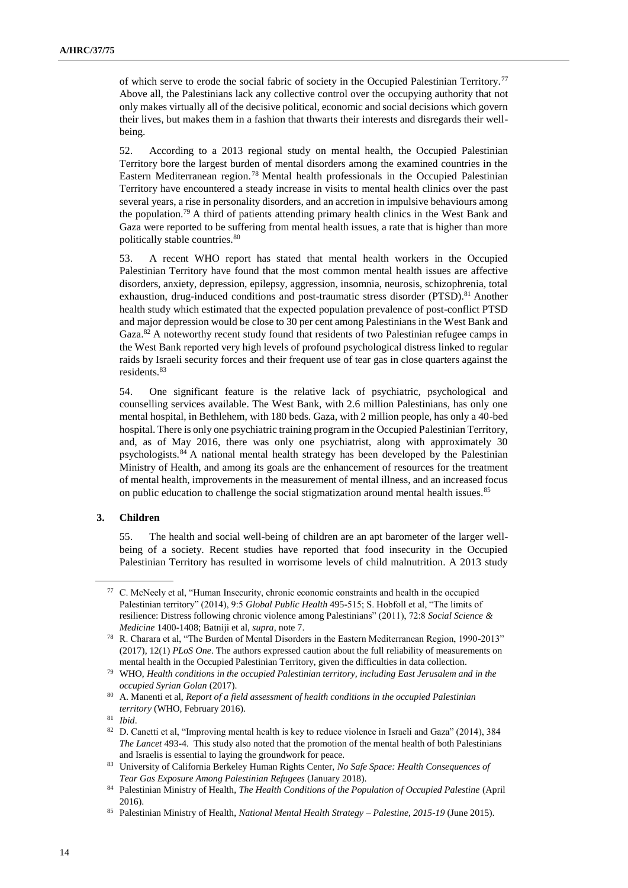of which serve to erode the social fabric of society in the Occupied Palestinian Territory.<sup>77</sup> Above all, the Palestinians lack any collective control over the occupying authority that not only makes virtually all of the decisive political, economic and social decisions which govern their lives, but makes them in a fashion that thwarts their interests and disregards their wellbeing.

52. According to a 2013 regional study on mental health, the Occupied Palestinian Territory bore the largest burden of mental disorders among the examined countries in the Eastern Mediterranean region.<sup>78</sup> Mental health professionals in the Occupied Palestinian Territory have encountered a steady increase in visits to mental health clinics over the past several years, a rise in personality disorders, and an accretion in impulsive behaviours among the population.<sup>79</sup> A third of patients attending primary health clinics in the West Bank and Gaza were reported to be suffering from mental health issues, a rate that is higher than more politically stable countries.<sup>80</sup>

53. A recent WHO report has stated that mental health workers in the Occupied Palestinian Territory have found that the most common mental health issues are affective disorders, anxiety, depression, epilepsy, aggression, insomnia, neurosis, schizophrenia, total exhaustion, drug-induced conditions and post-traumatic stress disorder (PTSD).<sup>81</sup> Another health study which estimated that the expected population prevalence of post-conflict PTSD and major depression would be close to 30 per cent among Palestinians in the West Bank and Gaza.<sup>82</sup> A noteworthy recent study found that residents of two Palestinian refugee camps in the West Bank reported very high levels of profound psychological distress linked to regular raids by Israeli security forces and their frequent use of tear gas in close quarters against the residents.<sup>83</sup>

54. One significant feature is the relative lack of psychiatric, psychological and counselling services available. The West Bank, with 2.6 million Palestinians, has only one mental hospital, in Bethlehem, with 180 beds. Gaza, with 2 million people, has only a 40-bed hospital. There is only one psychiatric training program in the Occupied Palestinian Territory, and, as of May 2016, there was only one psychiatrist, along with approximately 30 psychologists.<sup>84</sup> A national mental health strategy has been developed by the Palestinian Ministry of Health, and among its goals are the enhancement of resources for the treatment of mental health, improvements in the measurement of mental illness, and an increased focus on public education to challenge the social stigmatization around mental health issues.<sup>85</sup>

#### **3. Children**

55. The health and social well-being of children are an apt barometer of the larger wellbeing of a society. Recent studies have reported that food insecurity in the Occupied Palestinian Territory has resulted in worrisome levels of child malnutrition. A 2013 study

<sup>77</sup> C. McNeely et al, "Human Insecurity, chronic economic constraints and health in the occupied Palestinian territory" (2014), 9:5 *Global Public Health* 495-515; S. Hobfoll et al, "The limits of resilience: Distress following chronic violence among Palestinians" (2011), 72:8 *Social Science & Medicine* 1400-1408; Batniji et al, *supra*, note 7.

<sup>78</sup> R. Charara et al, "The Burden of Mental Disorders in the Eastern Mediterranean Region, 1990-2013" (2017), 12(1) *PLoS One*. The authors expressed caution about the full reliability of measurements on mental health in the Occupied Palestinian Territory, given the difficulties in data collection.

<sup>79</sup> WHO, *Health conditions in the occupied Palestinian territory, including East Jerusalem and in the occupied Syrian Golan* (2017).

<sup>80</sup> A. Manenti et al, *Report of a field assessment of health conditions in the occupied Palestinian territory* (WHO, February 2016).

<sup>81</sup> *Ibid*.

<sup>82</sup> D. Canetti et al, "Improving mental health is key to reduce violence in Israeli and Gaza" (2014), 384 *The Lancet* 493-4. This study also noted that the promotion of the mental health of both Palestinians and Israelis is essential to laying the groundwork for peace.

<sup>83</sup> University of California Berkeley Human Rights Center, *No Safe Space: Health Consequences of Tear Gas Exposure Among Palestinian Refugees* (January 2018).

<sup>84</sup> Palestinian Ministry of Health, *The Health Conditions of the Population of Occupied Palestine* (April 2016).

<sup>85</sup> Palestinian Ministry of Health, *National Mental Health Strategy – Palestine, 2015-19* (June 2015).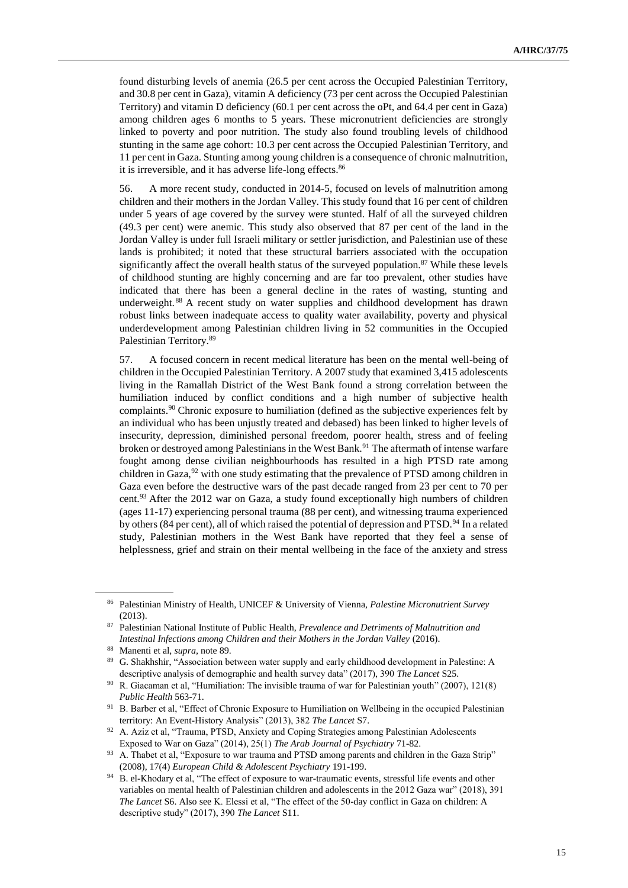found disturbing levels of anemia (26.5 per cent across the Occupied Palestinian Territory, and 30.8 per cent in Gaza), vitamin A deficiency (73 per cent across the Occupied Palestinian Territory) and vitamin D deficiency (60.1 per cent across the oPt, and 64.4 per cent in Gaza) among children ages 6 months to 5 years. These micronutrient deficiencies are strongly linked to poverty and poor nutrition. The study also found troubling levels of childhood stunting in the same age cohort: 10.3 per cent across the Occupied Palestinian Territory, and 11 per cent in Gaza. Stunting among young children is a consequence of chronic malnutrition, it is irreversible, and it has adverse life-long effects.<sup>86</sup>

56. A more recent study, conducted in 2014-5, focused on levels of malnutrition among children and their mothers in the Jordan Valley. This study found that 16 per cent of children under 5 years of age covered by the survey were stunted. Half of all the surveyed children (49.3 per cent) were anemic. This study also observed that 87 per cent of the land in the Jordan Valley is under full Israeli military or settler jurisdiction, and Palestinian use of these lands is prohibited; it noted that these structural barriers associated with the occupation significantly affect the overall health status of the surveyed population. $87$  While these levels of childhood stunting are highly concerning and are far too prevalent, other studies have indicated that there has been a general decline in the rates of wasting, stunting and underweight.<sup>88</sup> A recent study on water supplies and childhood development has drawn robust links between inadequate access to quality water availability, poverty and physical underdevelopment among Palestinian children living in 52 communities in the Occupied Palestinian Territory.<sup>89</sup>

57. A focused concern in recent medical literature has been on the mental well-being of children in the Occupied Palestinian Territory. A 2007 study that examined 3,415 adolescents living in the Ramallah District of the West Bank found a strong correlation between the humiliation induced by conflict conditions and a high number of subjective health complaints.<sup>90</sup> Chronic exposure to humiliation (defined as the subjective experiences felt by an individual who has been unjustly treated and debased) has been linked to higher levels of insecurity, depression, diminished personal freedom, poorer health, stress and of feeling broken or destroyed among Palestinians in the West Bank.<sup>91</sup> The aftermath of intense warfare fought among dense civilian neighbourhoods has resulted in a high PTSD rate among children in Gaza, <sup>92</sup> with one study estimating that the prevalence of PTSD among children in Gaza even before the destructive wars of the past decade ranged from 23 per cent to 70 per cent.<sup>93</sup> After the 2012 war on Gaza, a study found exceptionally high numbers of children (ages 11-17) experiencing personal trauma (88 per cent), and witnessing trauma experienced by others (84 per cent), all of which raised the potential of depression and PTSD.<sup>94</sup> In a related study, Palestinian mothers in the West Bank have reported that they feel a sense of helplessness, grief and strain on their mental wellbeing in the face of the anxiety and stress

<sup>86</sup> Palestinian Ministry of Health, UNICEF & University of Vienna, *Palestine Micronutrient Survey* (2013).

<sup>87</sup> Palestinian National Institute of Public Health, *Prevalence and Detriments of Malnutrition and Intestinal Infections among Children and their Mothers in the Jordan Valley* (2016).

<sup>88</sup> Manenti et al, *supra*, note 89.

<sup>89</sup> G. Shakhshir, "Association between water supply and early childhood development in Palestine: A descriptive analysis of demographic and health survey data" (2017), 390 *The Lancet* S25.

<sup>90</sup> R. Giacaman et al, "Humiliation: The invisible trauma of war for Palestinian youth" (2007), 121(8) *Public Health* 563-71.

<sup>91</sup> B. Barber et al, "Effect of Chronic Exposure to Humiliation on Wellbeing in the occupied Palestinian territory: An Event-History Analysis" (2013), 382 *The Lancet* S7.

<sup>&</sup>lt;sup>92</sup> A. Aziz et al, "Trauma, PTSD, Anxiety and Coping Strategies among Palestinian Adolescents Exposed to War on Gaza" (2014), 25(1) *The Arab Journal of Psychiatry* 71-82.

<sup>93</sup> A. Thabet et al, "Exposure to war trauma and PTSD among parents and children in the Gaza Strip" (2008), 17(4) *European Child & Adolescent Psychiatry* 191-199.

<sup>&</sup>lt;sup>94</sup> B. el-Khodary et al, "The effect of exposure to war-traumatic events, stressful life events and other variables on mental health of Palestinian children and adolescents in the 2012 Gaza war" (2018), 391 *The Lancet* S6. Also see K. Elessi et al, "The effect of the 50-day conflict in Gaza on children: A descriptive study" (2017), 390 *The Lancet* S11.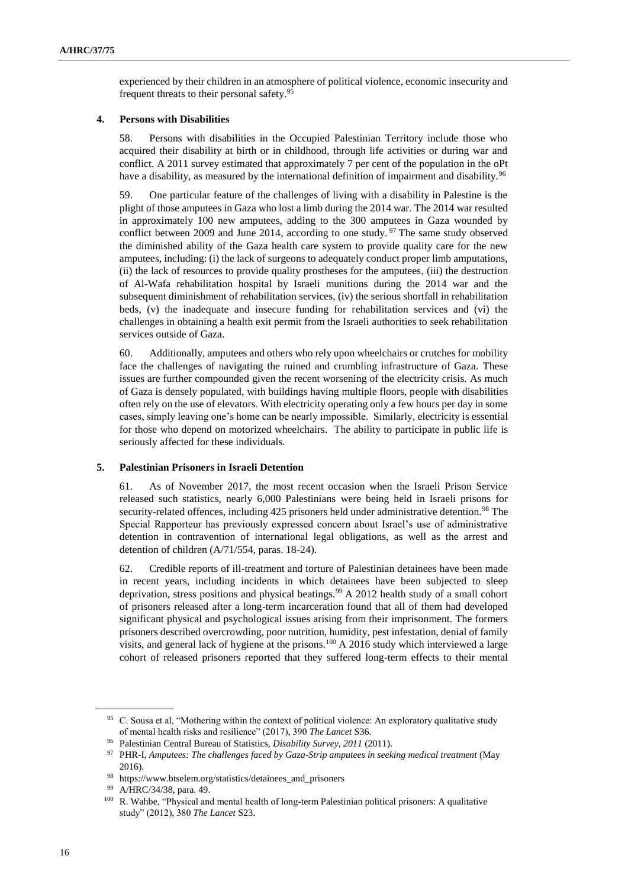experienced by their children in an atmosphere of political violence, economic insecurity and frequent threats to their personal safety.<sup>95</sup>

#### **4. Persons with Disabilities**

58. Persons with disabilities in the Occupied Palestinian Territory include those who acquired their disability at birth or in childhood, through life activities or during war and conflict. A 2011 survey estimated that approximately 7 per cent of the population in the oPt have a disability, as measured by the international definition of impairment and disability.<sup>96</sup>

59. One particular feature of the challenges of living with a disability in Palestine is the plight of those amputees in Gaza who lost a limb during the 2014 war. The 2014 war resulted in approximately 100 new amputees, adding to the 300 amputees in Gaza wounded by conflict between 2009 and June 2014, according to one study.<sup>97</sup> The same study observed the diminished ability of the Gaza health care system to provide quality care for the new amputees, including: (i) the lack of surgeons to adequately conduct proper limb amputations, (ii) the lack of resources to provide quality prostheses for the amputees, (iii) the destruction of Al-Wafa rehabilitation hospital by Israeli munitions during the 2014 war and the subsequent diminishment of rehabilitation services, (iv) the serious shortfall in rehabilitation beds, (v) the inadequate and insecure funding for rehabilitation services and (vi) the challenges in obtaining a health exit permit from the Israeli authorities to seek rehabilitation services outside of Gaza.

60. Additionally, amputees and others who rely upon wheelchairs or crutches for mobility face the challenges of navigating the ruined and crumbling infrastructure of Gaza. These issues are further compounded given the recent worsening of the electricity crisis. As much of Gaza is densely populated, with buildings having multiple floors, people with disabilities often rely on the use of elevators. With electricity operating only a few hours per day in some cases, simply leaving one's home can be nearly impossible. Similarly, electricity is essential for those who depend on motorized wheelchairs. The ability to participate in public life is seriously affected for these individuals.

#### **5. Palestinian Prisoners in Israeli Detention**

61. As of November 2017, the most recent occasion when the Israeli Prison Service released such statistics, nearly 6,000 Palestinians were being held in Israeli prisons for security-related offences, including 425 prisoners held under administrative detention.<sup>98</sup> The Special Rapporteur has previously expressed concern about Israel's use of administrative detention in contravention of international legal obligations, as well as the arrest and detention of children (A/71/554, paras. 18-24).

62. Credible reports of ill-treatment and torture of Palestinian detainees have been made in recent years, including incidents in which detainees have been subjected to sleep deprivation, stress positions and physical beatings.<sup>99</sup> A 2012 health study of a small cohort of prisoners released after a long-term incarceration found that all of them had developed significant physical and psychological issues arising from their imprisonment. The formers prisoners described overcrowding, poor nutrition, humidity, pest infestation, denial of family visits, and general lack of hygiene at the prisons.<sup>100</sup> A 2016 study which interviewed a large cohort of released prisoners reported that they suffered long-term effects to their mental

<sup>&</sup>lt;sup>95</sup> C. Sousa et al, "Mothering within the context of political violence: An exploratory qualitative study of mental health risks and resilience" (2017), 390 *The Lancet* S36.

<sup>96</sup> Palestinian Central Bureau of Statistics, *Disability Survey, 2011* (2011).

<sup>97</sup> PHR-I, *Amputees: The challenges faced by Gaza-Strip amputees in seeking medical treatment* (May 2016).

<sup>98</sup> https://www.btselem.org/statistics/detainees\_and\_prisoners

<sup>99</sup> A/HRC/34/38, para. 49.

<sup>100</sup> R. Wahbe, "Physical and mental health of long-term Palestinian political prisoners: A qualitative study" (2012), 380 *The Lancet* S23.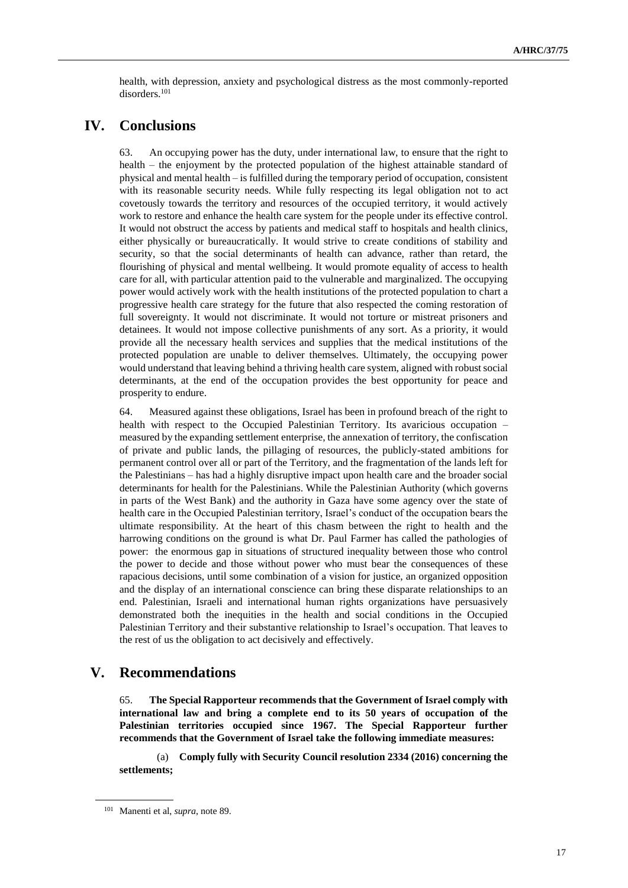health, with depression, anxiety and psychological distress as the most commonly-reported disorders.<sup>101</sup>

## **IV. Conclusions**

63. An occupying power has the duty, under international law, to ensure that the right to health – the enjoyment by the protected population of the highest attainable standard of physical and mental health – is fulfilled during the temporary period of occupation, consistent with its reasonable security needs. While fully respecting its legal obligation not to act covetously towards the territory and resources of the occupied territory, it would actively work to restore and enhance the health care system for the people under its effective control. It would not obstruct the access by patients and medical staff to hospitals and health clinics, either physically or bureaucratically. It would strive to create conditions of stability and security, so that the social determinants of health can advance, rather than retard, the flourishing of physical and mental wellbeing. It would promote equality of access to health care for all, with particular attention paid to the vulnerable and marginalized. The occupying power would actively work with the health institutions of the protected population to chart a progressive health care strategy for the future that also respected the coming restoration of full sovereignty. It would not discriminate. It would not torture or mistreat prisoners and detainees. It would not impose collective punishments of any sort. As a priority, it would provide all the necessary health services and supplies that the medical institutions of the protected population are unable to deliver themselves. Ultimately, the occupying power would understand that leaving behind a thriving health care system, aligned with robust social determinants, at the end of the occupation provides the best opportunity for peace and prosperity to endure.

64. Measured against these obligations, Israel has been in profound breach of the right to health with respect to the Occupied Palestinian Territory. Its avaricious occupation – measured by the expanding settlement enterprise, the annexation of territory, the confiscation of private and public lands, the pillaging of resources, the publicly-stated ambitions for permanent control over all or part of the Territory, and the fragmentation of the lands left for the Palestinians – has had a highly disruptive impact upon health care and the broader social determinants for health for the Palestinians. While the Palestinian Authority (which governs in parts of the West Bank) and the authority in Gaza have some agency over the state of health care in the Occupied Palestinian territory, Israel's conduct of the occupation bears the ultimate responsibility. At the heart of this chasm between the right to health and the harrowing conditions on the ground is what Dr. Paul Farmer has called the pathologies of power: the enormous gap in situations of structured inequality between those who control the power to decide and those without power who must bear the consequences of these rapacious decisions, until some combination of a vision for justice, an organized opposition and the display of an international conscience can bring these disparate relationships to an end. Palestinian, Israeli and international human rights organizations have persuasively demonstrated both the inequities in the health and social conditions in the Occupied Palestinian Territory and their substantive relationship to Israel's occupation. That leaves to the rest of us the obligation to act decisively and effectively.

### **V. Recommendations**

65. **The Special Rapporteur recommends that the Government of Israel comply with international law and bring a complete end to its 50 years of occupation of the Palestinian territories occupied since 1967. The Special Rapporteur further recommends that the Government of Israel take the following immediate measures:** 

(a) **Comply fully with Security Council resolution 2334 (2016) concerning the settlements;**

<sup>101</sup> Manenti et al, *supra*, note 89.